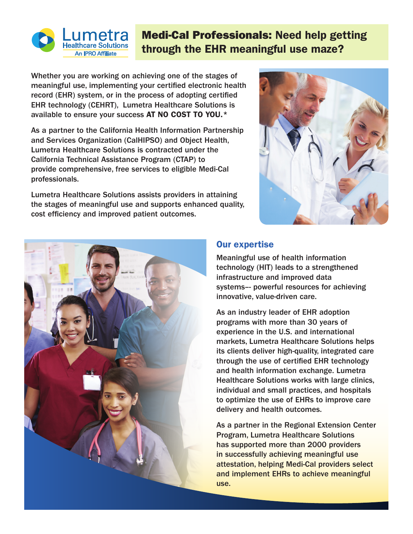

## Medi-Cal Professionals: Need help getting through the EHR meaningful use maze?

Whether you are working on achieving one of the stages of meaningful use, implementing your certified electronic health record (EHR) system, or in the process of adopting certified EHR technology (CEHRT), Lumetra Healthcare Solutions is available to ensure your success AT NO COST TO YOU.\*

As a partner to the California Health Information Partnership and Services Organization (CalHIPSO) and Object Health, Lumetra Healthcare Solutions is contracted under the California Technical Assistance Program (CTAP) to provide comprehensive, free services to eligible Medi-Cal professionals.

Lumetra Healthcare Solutions assists providers in attaining the stages of meaningful use and supports enhanced quality, cost efficiency and improved patient outcomes.





## Our expertise

Meaningful use of health information technology (HIT) leads to a strengthened infrastructure and improved data systems–- powerful resources for achieving innovative, value-driven care.

As an industry leader of EHR adoption programs with more than 30 years of experience in the U.S. and international markets, Lumetra Healthcare Solutions helps its clients deliver high-quality, integrated care through the use of certified EHR technology and health information exchange. Lumetra Healthcare Solutions works with large clinics, individual and small practices, and hospitals to optimize the use of EHRs to improve care delivery and health outcomes.

As a partner in the Regional Extension Center Program, Lumetra Healthcare Solutions has supported more than 2000 providers in successfully achieving meaningful use attestation, helping Medi-Cal providers select and implement EHRs to achieve meaningful use.